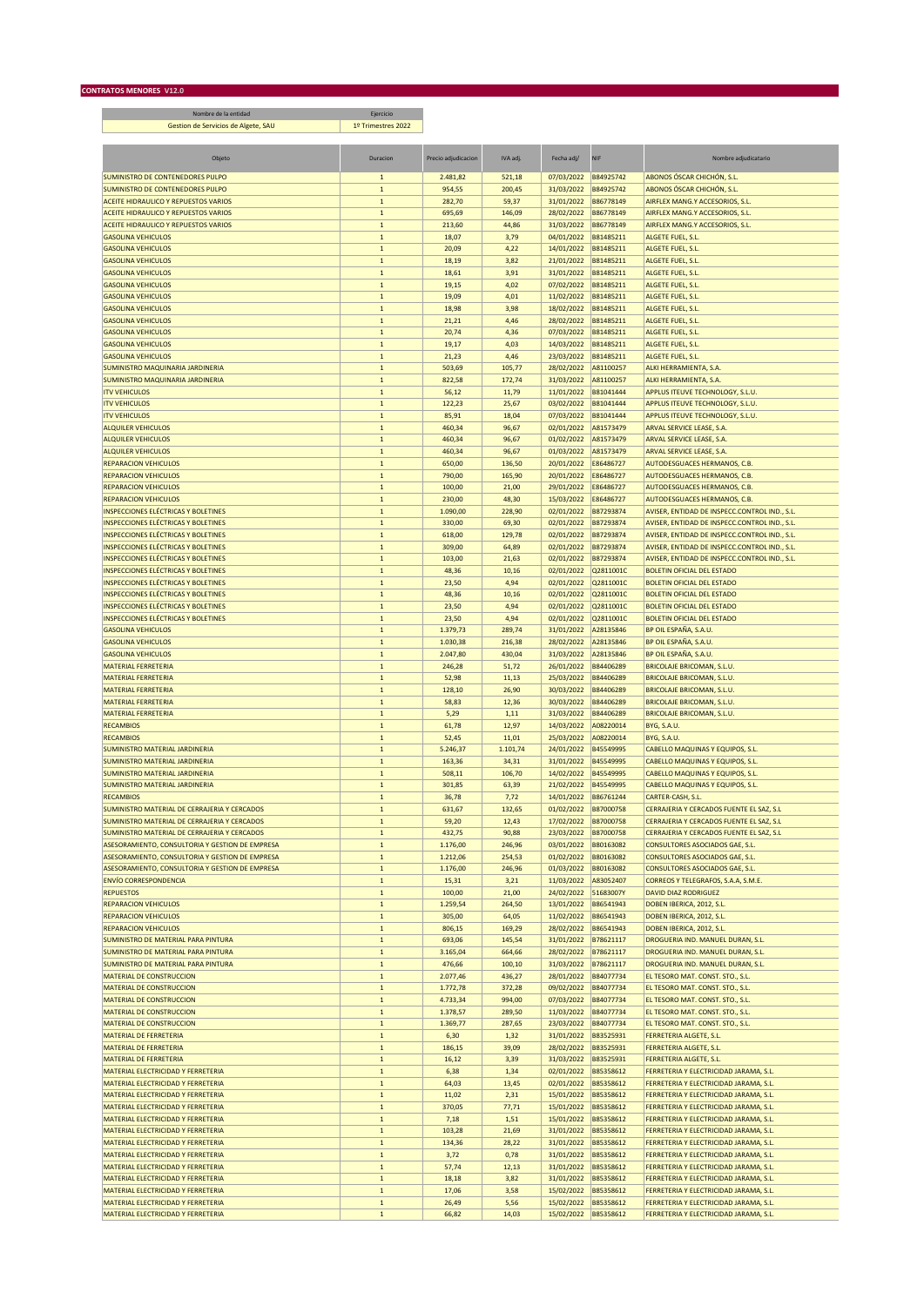Nombre de la entidad Ejercicio Gestion de Servicios de Algete, SAU 1º Trimestres 2022

| Objeto                                                                                             | Duracion                     | Precio adjudicacion  | IVA adj.         | Fecha adj/               | <b>NIF</b>             | Nombre adjudicatario                                                             |
|----------------------------------------------------------------------------------------------------|------------------------------|----------------------|------------------|--------------------------|------------------------|----------------------------------------------------------------------------------|
| SUMINISTRO DE CONTENEDORES PULPO                                                                   | $\mathbf{1}$                 | 2.481,82             | 521,18           | 07/03/2022               | B84925742              | ABONOS ÓSCAR CHICHÓN, S.L.                                                       |
| SUMINISTRO DE CONTENEDORES PULPO                                                                   | $\mathbf 1$                  | 954,55               | 200,45           | 31/03/2022               | B84925742              | ABONOS ÓSCAR CHICHÓN, S.L.                                                       |
| ACEITE HIDRAULICO Y REPUESTOS VARIOS                                                               | $\mathbf 1$                  | 282,70               | 59,37            | 31/01/2022               | B86778149              | AIRFLEX MANG.Y ACCESORIOS, S.L.                                                  |
| ACEITE HIDRAULICO Y REPUESTOS VARIOS<br>ACEITE HIDRAULICO Y REPUESTOS VARIOS                       | $\mathbf{1}$<br>$\mathbf 1$  | 695,69<br>213,60     | 146,09<br>44,86  | 28/02/2022<br>31/03/2022 | B86778149<br>B86778149 | AIRFLEX MANG.Y ACCESORIOS, S.L.<br>AIRFLEX MANG.Y ACCESORIOS, S.L.               |
| <b>GASOLINA VEHICULOS</b>                                                                          | $\mathbf 1$                  | 18,07                | 3,79             | 04/01/2022               | B81485211              | ALGETE FUEL, S.L.                                                                |
| <b>GASOLINA VEHICULOS</b>                                                                          | $\mathbf 1$                  | 20,09                | 4,22             | 14/01/2022               | B81485211              | ALGETE FUEL, S.L.                                                                |
| <b>GASOLINA VEHICULOS</b>                                                                          | $\mathbf 1$                  | 18,19                | 3,82             | 21/01/2022               | B81485211              | ALGETE FUEL, S.L.                                                                |
| <b>GASOLINA VEHICULOS</b><br><b>GASOLINA VEHICULOS</b>                                             | $\mathbf 1$<br>$\mathbf 1$   | 18,61<br>19,15       | 3,91<br>4,02     | 31/01/2022               | B81485211<br>B81485211 | ALGETE FUEL, S.L.<br>ALGETE FUEL, S.L.                                           |
| <b>GASOLINA VEHICULOS</b>                                                                          | $1\,$                        | 19,09                | 4,01             | 07/02/2022<br>11/02/2022 | B81485211              | ALGETE FUEL, S.L.                                                                |
| <b>GASOLINA VEHICULOS</b>                                                                          | $\mathbf 1$                  | 18,98                | 3,98             | 18/02/2022               | B81485211              | ALGETE FUEL, S.L.                                                                |
| <b>GASOLINA VEHICULOS</b>                                                                          | $\mathbf{1}$                 | 21,21                | 4,46             | 28/02/2022               | B81485211              | ALGETE FUEL, S.L.                                                                |
| <b>GASOLINA VEHICULOS</b>                                                                          | $\mathbf 1$                  | 20,74                | 4,36             | 07/03/2022               | B81485211              | ALGETE FUEL, S.L.                                                                |
| <b>GASOLINA VEHICULOS</b><br><b>GASOLINA VEHICULOS</b>                                             | $\mathbf 1$<br>$\mathbf 1$   | 19,17<br>21,23       | 4,03<br>4,46     | 14/03/2022<br>23/03/2022 | B81485211<br>B81485211 | ALGETE FUEL, S.L.<br>ALGETE FUEL, S.L.                                           |
| SUMINISTRO MAQUINARIA JARDINERIA                                                                   | $\mathbf 1$                  | 503,69               | 105,77           | 28/02/2022               | A81100257              | ALKI HERRAMIENTA, S.A.                                                           |
| SUMINISTRO MAQUINARIA JARDINERIA                                                                   | $1\,$                        | 822,58               | 172,74           | 31/03/2022               | A81100257              | ALKI HERRAMIENTA, S.A.                                                           |
| <b>ITV VEHICULOS</b>                                                                               | $1\,$                        | 56,12                | 11,79            | 11/01/2022               | B81041444              | APPLUS ITEUVE TECHNOLOGY, S.L.U.                                                 |
| <b>ITV VEHICULOS</b>                                                                               | $\mathbf{1}$                 | 122,23               | 25,67            | 03/02/2022               | B81041444              | APPLUS ITEUVE TECHNOLOGY, S.L.U.                                                 |
| <b>ITV VEHICULOS</b><br><b>ALQUILER VEHICULOS</b>                                                  | $1\,$<br>$\mathbf 1$         | 85,91<br>460,34      | 18,04<br>96,67   | 07/03/2022<br>02/01/2022 | B81041444<br>A81573479 | APPLUS ITEUVE TECHNOLOGY, S.L.U.<br>ARVAL SERVICE LEASE, S.A.                    |
| <b>ALQUILER VEHICULOS</b>                                                                          | $\mathbf 1$                  | 460,34               | 96,67            | 01/02/2022               | A81573479              | ARVAL SERVICE LEASE, S.A.                                                        |
| <b>ALQUILER VEHICULOS</b>                                                                          | $\mathbf 1$                  | 460,34               | 96,67            | 01/03/2022               | A81573479              | ARVAL SERVICE LEASE, S.A.                                                        |
| <b>REPARACION VEHICULOS</b>                                                                        | $\mathbf 1$                  | 650,00               | 136,50           | 20/01/2022               | E86486727              | AUTODESGUACES HERMANOS, C.B.                                                     |
| <b>REPARACION VEHICULOS</b>                                                                        | $\mathbf 1$                  | 790,00               | 165,90           | 20/01/2022               | E86486727              | AUTODESGUACES HERMANOS, C.B.                                                     |
| <b>REPARACION VEHICULOS</b>                                                                        | $1\,$<br>$\mathbf 1$         | 100,00               | 21,00            | 29/01/2022               | E86486727              | <b>AUTODESGUACES HERMANOS, C.B.</b><br>AUTODESGUACES HERMANOS, C.B.              |
| <b>REPARACION VEHICULOS</b><br><b>INSPECCIONES ELÉCTRICAS Y BOLETINES</b>                          | $\mathbf{1}$                 | 230,00<br>1.090,00   | 48,30<br>228,90  | 15/03/2022<br>02/01/2022 | E86486727<br>B87293874 | AVISER, ENTIDAD DE INSPECC.CONTROL IND., S.L.                                    |
| <b>INSPECCIONES ELÉCTRICAS Y BOLETINES</b>                                                         | $\mathbf 1$                  | 330,00               | 69,30            | 02/01/2022               | B87293874              | AVISER, ENTIDAD DE INSPECC.CONTROL IND., S.L.                                    |
| <b>INSPECCIONES ELÉCTRICAS Y BOLETINES</b>                                                         | $\mathbf{1}$                 | 618,00               | 129,78           | 02/01/2022               | B87293874              | AVISER, ENTIDAD DE INSPECC.CONTROL IND., S.L.                                    |
| <b>INSPECCIONES ELÉCTRICAS Y BOLETINES</b>                                                         | $\mathbf 1$                  | 309.00               | 64,89            | 02/01/2022               | B87293874              | AVISER, ENTIDAD DE INSPECC.CONTROL IND., S.L.                                    |
| <b>INSPECCIONES ELÉCTRICAS Y BOLETINES</b>                                                         | $\mathbf 1$                  | 103,00               | 21,63            | 02/01/2022               | B87293874              | AVISER, ENTIDAD DE INSPECC.CONTROL IND., S.L.                                    |
| <b>INSPECCIONES ELÉCTRICAS Y BOLETINES</b><br><b>INSPECCIONES ELÉCTRICAS Y BOLETINES</b>           | $1\,$<br>$1\,$               | 48,36<br>23,50       | 10,16<br>4,94    | 02/01/2022<br>02/01/2022 | Q2811001C<br>Q2811001C | <b>BOLETIN OFICIAL DEL ESTADO</b><br><b>BOLETIN OFICIAL DEL ESTADO</b>           |
| <b>INSPECCIONES ELÉCTRICAS Y BOLETINES</b>                                                         | $\mathbf{1}$                 | 48,36                | 10,16            | 02/01/2022               | Q2811001C              | <b>BOLETIN OFICIAL DEL ESTADO</b>                                                |
| <b>INSPECCIONES ELÉCTRICAS Y BOLETINES</b>                                                         | $\mathbf 1$                  | 23,50                | 4,94             | 02/01/2022               | Q2811001C              | <b>BOLETIN OFICIAL DEL ESTADO</b>                                                |
| <b>INSPECCIONES ELÉCTRICAS Y BOLETINES</b>                                                         | $\mathbf{1}$                 | 23,50                | 4,94             | 02/01/2022               | Q2811001C              | <b>BOLETIN OFICIAL DEL ESTADO</b>                                                |
| <b>GASOLINA VEHICULOS</b>                                                                          | $\mathbf 1$                  | 1.379,73             | 289,74           | 31/01/2022               | A28135846              | BP OIL ESPAÑA, S.A.U.                                                            |
| <b>GASOLINA VEHICULOS</b><br><b>GASOLINA VEHICULOS</b>                                             | $\mathbf 1$<br>$\mathbf 1$   | 1.030,38<br>2.047,80 | 216,38<br>430,04 | 28/02/2022<br>31/03/2022 | A28135846<br>A28135846 | BP OIL ESPAÑA, S.A.U.<br>BP OIL ESPAÑA, S.A.U.                                   |
| <b>MATERIAL FERRETERIA</b>                                                                         | $1\,$                        | 246,28               | 51,72            | 26/01/2022               | B84406289              | <b>BRICOLAJE BRICOMAN, S.L.U.</b>                                                |
| <b>MATERIAL FERRETERIA</b>                                                                         | $1\,$                        | 52,98                | 11,13            | 25/03/2022               | B84406289              | <b>BRICOLAJE BRICOMAN, S.L.U.</b>                                                |
| <b>MATERIAL FERRETERIA</b>                                                                         | $\mathbf 1$                  | 128,10               | 26,90            | 30/03/2022               | B84406289              | <b>BRICOLAJE BRICOMAN, S.L.U.</b>                                                |
| <b>MATERIAL FERRETERIA</b>                                                                         | $\mathbf{1}$                 | 58,83                | 12,36            | 30/03/2022               | B84406289              | <b>BRICOLAJE BRICOMAN, S.L.U.</b>                                                |
| <b>MATERIAL FERRETERIA</b><br><b>RECAMBIOS</b>                                                     | $\mathbf 1$<br>$\mathbf 1$   | 5,29<br>61,78        | 1,11<br>12,97    | 31/03/2022<br>14/03/2022 | B84406289<br>A08220014 | <b>BRICOLAJE BRICOMAN, S.L.U.</b><br>BYG, S.A.U.                                 |
| <b>RECAMBIOS</b>                                                                                   | $\mathbf 1$                  | 52,45                | 11,01            | 25/03/2022               | A08220014              | BYG, S.A.U.                                                                      |
| SUMINISTRO MATERIAL JARDINERIA                                                                     | $\mathbf 1$                  | 5.246,37             | 1.101,74         | 24/01/2022               | B45549995              | <b>CABELLO MAQUINAS Y EQUIPOS, S.L.</b>                                          |
| SUMINISTRO MATERIAL JARDINERIA                                                                     | $\mathbf 1$                  | 163,36               | 34,31            | 31/01/2022               | B45549995              | CABELLO MAQUINAS Y EQUIPOS, S.L.                                                 |
| <b>SUMINISTRO MATERIAL JARDINERIA</b>                                                              | $\mathbf 1$                  | 508,11               | 106,70           | 14/02/2022               | B45549995              | <b>CABELLO MAQUINAS Y EQUIPOS, S.L.</b>                                          |
| SUMINISTRO MATERIAL JARDINERIA<br><b>RECAMBIOS</b>                                                 | $1\,$<br>$\mathbf 1$         | 301,85<br>36,78      | 63,39<br>7,72    | 21/02/2022<br>14/01/2022 | B45549995<br>B86761244 | CABELLO MAQUINAS Y EQUIPOS, S.L.<br>CARTER-CASH, S.L.                            |
| SUMINISTRO MATERIAL DE CERRAIERIA Y CERCADOS                                                       | $\mathbf{1}$                 | 631,67               | 132,65           | 01/02/2022               | B87000758              | CERRAJERIA Y CERCADOS FUENTE EL SAZ, S.L                                         |
| SUMINISTRO MATERIAL DE CERRAJERIA Y CERCADOS                                                       | $\mathbf 1$                  | 59,20                | 12,43            | 17/02/2022               | B87000758              | CERRAJERIA Y CERCADOS FUENTE EL SAZ, S.L                                         |
| SUMINISTRO MATERIAL DE CERRAJERIA Y CERCADOS                                                       | $\mathbf{1}$                 | 432,75               | 90,88            | 23/03/2022               | B87000758              | CERRAJERIA Y CERCADOS FUENTE EL SAZ, S.L                                         |
| ASESORAMIENTO, CONSULTORIA Y GESTION DE EMPRESA                                                    | л.                           | 1.176,00             | 246,96           | 03/01/2022               | B80163082              | <b>CONSULTORES ASOCIADOS GAE, S.L.</b>                                           |
| ASESORAMIENTO, CONSULTORIA Y GESTION DE EMPRESA<br>ASESORAMIENTO, CONSULTORIA Y GESTION DE EMPRESA | $\mathbf 1$<br>$\mathbf{1}$  | 1.212,06<br>1.176,00 | 254,53<br>246,96 | 01/02/2022<br>01/03/2022 | B80163082<br>B80163082 | <b>CONSULTORES ASOCIADOS GAE, S.L.</b><br>CONSULTORES ASOCIADOS GAE, S.L.        |
| <b>ENVÍO CORRESPONDENCIA</b>                                                                       | $1\,$                        | 15,31                | 3,21             | 11/03/2022               | A83052407              | CORREOS Y TELEGRAFOS, S.A.A, S.M.E.                                              |
| <b>REPUESTOS</b>                                                                                   | $\mathbf 1$                  | 100,00               | 21,00            | 24/02/2022               | 51683007Y              | <b>DAVID DIAZ RODRIGUEZ</b>                                                      |
| <b>REPARACION VEHICULOS</b>                                                                        | $\mathbf 1$                  | 1.259,54             | 264,50           | 13/01/2022               | B86541943              | DOBEN IBERICA, 2012, S.L.                                                        |
| <b>REPARACION VEHICULOS</b>                                                                        | $\mathbf{1}$                 | 305,00               | 64,05            | 11/02/2022               | B86541943              | DOBEN IBERICA, 2012, S.L.                                                        |
| <b>REPARACION VEHICULOS</b><br>SUMINISTRO DE MATERIAL PARA PINTURA                                 | $\mathbf 1$<br>$\mathbf 1$   | 806,15<br>693,06     | 169,29<br>145,54 | 28/02/2022<br>31/01/2022 | B86541943<br>B78621117 | DOBEN IBERICA, 2012, S.L.<br>DROGUERIA IND. MANUEL DURAN, S.L.                   |
| SUMINISTRO DE MATERIAL PARA PINTURA                                                                | $\mathbf 1$                  | 3.165,04             | 664,66           | 28/02/2022               | B78621117              | DROGUERIA IND. MANUEL DURAN, S.L.                                                |
| SUMINISTRO DE MATERIAL PARA PINTURA                                                                | $1\,$                        | 476,66               | 100,10           | 31/03/2022               | B78621117              | DROGUERIA IND. MANUEL DURAN, S.L.                                                |
| MATERIAL DE CONSTRUCCION                                                                           | $\mathbf 1$                  | 2.077,46             | 436,27           | 28/01/2022               | B84077734              | EL TESORO MAT. CONST. STO., S.L.                                                 |
| <b>MATERIAL DE CONSTRUCCION</b>                                                                    | $\mathbf 1$                  | 1.772,78             | 372,28           | 09/02/2022               | B84077734              | EL TESORO MAT. CONST. STO., S.L.                                                 |
| <b>MATERIAL DE CONSTRUCCION</b><br>MATERIAL DE CONSTRUCCION                                        | $\mathbf{1}$<br>$\mathbf{1}$ | 4.733,34<br>1.378,57 | 994,00<br>289,50 | 07/03/2022<br>11/03/2022 | B84077734<br>B84077734 | EL TESORO MAT. CONST. STO., S.L.<br>EL TESORO MAT. CONST. STO., S.L.             |
| <b>MATERIAL DE CONSTRUCCION</b>                                                                    | $\mathbf{1}$                 | 1.369,77             | 287,65           | 23/03/2022               | B84077734              | EL TESORO MAT. CONST. STO., S.L.                                                 |
| MATERIAL DE FERRETERIA                                                                             | $\mathbf 1$                  | 6,30                 | 1,32             | 31/01/2022               | B83525931              | FERRETERIA ALGETE, S.L.                                                          |
| <b>MATERIAL DE FERRETERIA</b>                                                                      | $\mathbf{1}$                 | 186,15               | 39,09            | 28/02/2022               | B83525931              | FERRETERIA ALGETE, S.L.                                                          |
| <b>MATERIAL DE FERRETERIA</b>                                                                      | $\mathbf 1$                  | 16,12                | 3,39             | 31/03/2022               | B83525931              | FERRETERIA ALGETE, S.L.                                                          |
| MATERIAL ELECTRICIDAD Y FERRETERIA<br>MATERIAL ELECTRICIDAD Y FERRETERIA                           | $\mathbf 1$<br>$\mathbf{1}$  | 6,38                 | 1,34<br>13,45    | 02/01/2022<br>02/01/2022 | B85358612<br>B85358612 | FERRETERIA Y ELECTRICIDAD JARAMA, S.L.<br>FERRETERIA Y ELECTRICIDAD JARAMA, S.L. |
| MATERIAL ELECTRICIDAD Y FERRETERIA                                                                 | $\mathbf 1$                  | 64,03<br>11,02       | 2,31             | 15/01/2022               | B85358612              | FERRETERIA Y ELECTRICIDAD JARAMA, S.L.                                           |
| MATERIAL ELECTRICIDAD Y FERRETERIA                                                                 | $\mathbf 1$                  | 370,05               | 77,71            | 15/01/2022               | B85358612              | FERRETERIA Y ELECTRICIDAD JARAMA, S.L.                                           |
| MATERIAL ELECTRICIDAD Y FERRETERIA                                                                 | $\mathbf 1$                  | 7,18                 | 1,51             | 15/01/2022               | B85358612              | FERRETERIA Y ELECTRICIDAD JARAMA, S.L.                                           |
| MATERIAL ELECTRICIDAD Y FERRETERIA                                                                 | $\mathbf{1}$                 | 103,28               | 21,69            | 31/01/2022               | B85358612              | FERRETERIA Y ELECTRICIDAD JARAMA, S.L.                                           |
| MATERIAL ELECTRICIDAD Y FERRETERIA                                                                 | $\mathbf{1}$                 | 134,36               | 28,22            | 31/01/2022               | B85358612              | FERRETERIA Y ELECTRICIDAD JARAMA, S.L.                                           |
| MATERIAL ELECTRICIDAD Y FERRETERIA<br>MATERIAL ELECTRICIDAD Y FERRETERIA                           | $1\,$<br>$1\,$               | 3,72<br>57,74        | 0,78<br>12,13    | 31/01/2022<br>31/01/2022 | B85358612<br>B85358612 | FERRETERIA Y ELECTRICIDAD JARAMA, S.L.<br>FERRETERIA Y ELECTRICIDAD JARAMA, S.L. |
| MATERIAL ELECTRICIDAD Y FERRETERIA                                                                 | $\mathbf 1$                  | 18,18                | 3,82             | 31/01/2022               | B85358612              | FERRETERIA Y ELECTRICIDAD JARAMA, S.L.                                           |
| MATERIAL ELECTRICIDAD Y FERRETERIA                                                                 | $\mathbf{1}$                 | 17,06                | 3,58             | 15/02/2022               | B85358612              | FERRETERIA Y ELECTRICIDAD JARAMA, S.L.                                           |
| MATERIAL ELECTRICIDAD Y FERRETERIA                                                                 | $\mathbf{1}$                 | 26,49                | 5,56             | 15/02/2022               | B85358612              | FERRETERIA Y ELECTRICIDAD JARAMA, S.L.                                           |
| MATERIAL ELECTRICIDAD Y FERRETERIA                                                                 | $\mathbf 1$                  | 66,82                | 14,03            | 15/02/2022 B85358612     |                        | FERRETERIA Y ELECTRICIDAD JARAMA, S.L.                                           |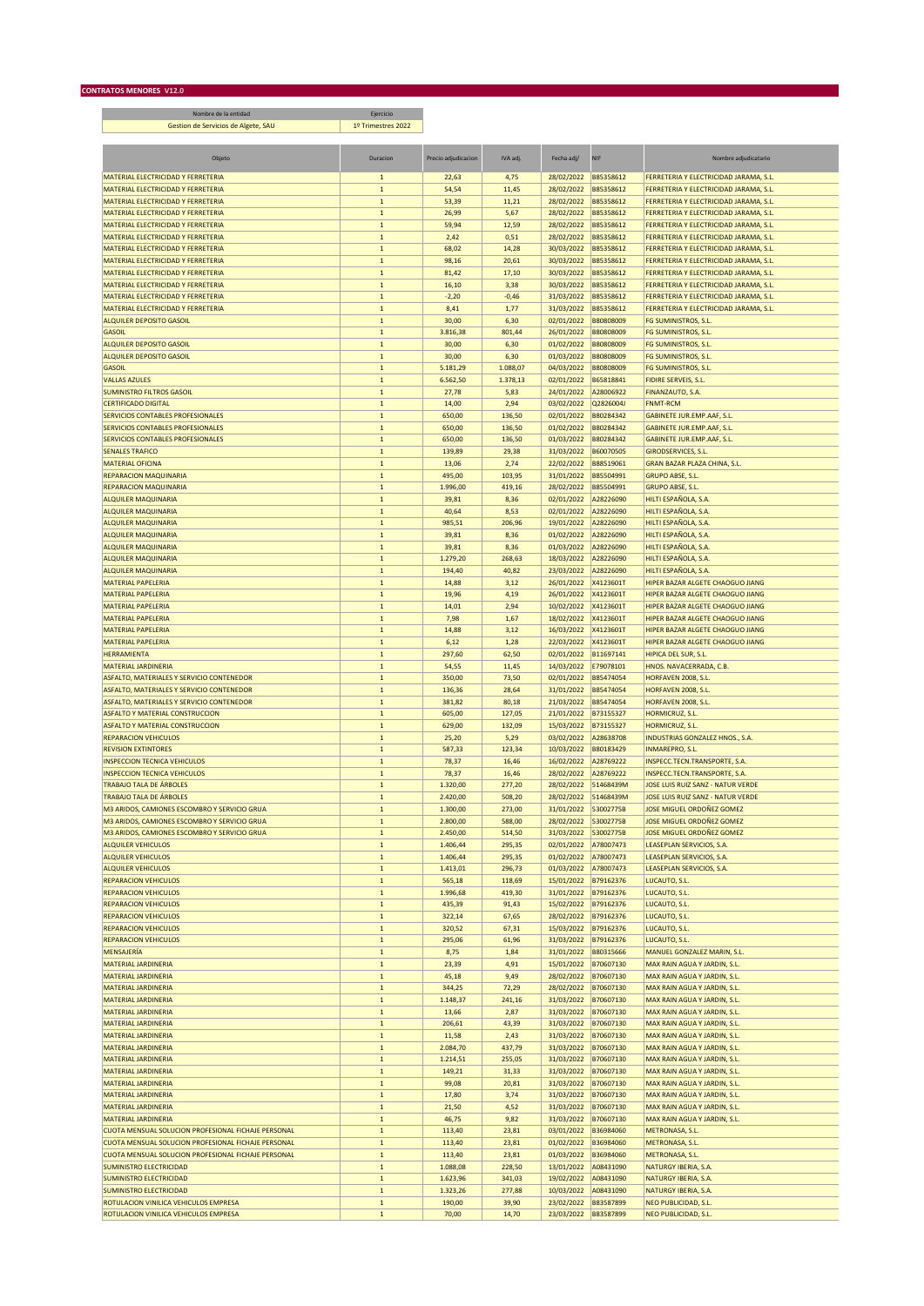П Nombre de la entidad Ejercicio Gestion de Servicios de Algete, SAU 1º Trimestres 2022 Objeto Duracion Precio adjudicacion IVA adj. Fecha adj/ NIF Nombre adjudicatario Duracion Duracion Precio adjudicatario MATERIAL ELECTRICIDAD Y FERRETERIA<br>1 54,54 11,45 28/02/2022 B85358612 FERRETERIA Y ELECTRICIDAD JARAMA, S.L.<br>1 53,39 11,21 28/02/2022 B85358612 FERRETERIA Y ELECTRICIDAD JARAMA, S.L.<br>1 26,99 5,67 28/02/2022 B85358612 FERRE 1 22,63 4,75 28/02/2022 B85358612 FERRETERIA Y ELECTRICIDAD JARAMA, S.L.<br>1 53,39 11,21 28/02/2022 B85358612 FERRETERIA Y ELECTRICIDAD JARAMA, S.L.<br>1 28/02/2022 B85358612 FERRETERIA Y ELECTRICIDAD JARAMA, S.L. MATERIAL ELECTRICIDAD Y FERRETERIA 1 53,39 11,21 28/02/2022 B85358612 FERRETERIA Y ELECTRICIDAD JARAMA, S.L.<br>1 26/02/2022 B85358612 FERRETERIA Y ELECTRICIDAD JARAMA, S.L. 1 26,99 5,67 28/02/2022 B85358612 FERRETERIA Y ELEC MATERIAL ELECTRICIDAD Y FERRETERIA 1 26,99 5,67 28/02/2022 B85358612 FERRETERIA Y ELECTRICIDAD JARAMA, S.L.<br>1 59,94 12,59 28/02/2022 B85358612 FERRETERIA Y ELECTRICIDAD JARAMA, S.L. MATERIAL ELECTRICIDAD JARAMA, S.L. **12,59** 28/02/2022 B85358612 FERRETERIA Y ELECTRICIDAD JARAMA, S.L.

| MATERIAL ELECTRICIDAD Y FERRETERIA                  | $\mathbf{1}$ | 2,42     | 0,51     | 28/02/2022 | B85358612 | FERRETERIA Y ELECTRICIDAD JARAMA, S.L    |
|-----------------------------------------------------|--------------|----------|----------|------------|-----------|------------------------------------------|
| MATERIAL ELECTRICIDAD Y FERRETERIA                  | $\mathbf{1}$ | 68,02    | 14,28    | 30/03/2022 | B85358612 | FERRETERIA Y ELECTRICIDAD JARAMA, S.L.   |
|                                                     |              |          |          |            |           |                                          |
| MATERIAL ELECTRICIDAD Y FERRETERIA                  | $\mathbf 1$  | 98,16    | 20,61    | 30/03/2022 | B85358612 | FERRETERIA Y ELECTRICIDAD JARAMA, S.L.   |
| MATERIAL ELECTRICIDAD Y FERRETERIA                  | $\mathbf 1$  | 81,42    | 17,10    | 30/03/2022 | B85358612 | FERRETERIA Y ELECTRICIDAD JARAMA, S.L.   |
| MATERIAL ELECTRICIDAD Y FERRETERIA                  | $\mathbf 1$  | 16,10    | 3,38     | 30/03/2022 | B85358612 | FERRETERIA Y ELECTRICIDAD JARAMA, S.L.   |
| MATERIAL ELECTRICIDAD Y FERRETERIA                  | $\mathbf{1}$ | $-2,20$  | $-0,46$  | 31/03/2022 | B85358612 | FERRETERIA Y ELECTRICIDAD JARAMA, S.L.   |
|                                                     |              |          |          |            |           |                                          |
| MATERIAL ELECTRICIDAD Y FERRETERIA                  | $\mathbf 1$  | 8,41     | 1,77     | 31/03/2022 | B85358612 | FERRETERIA Y ELECTRICIDAD JARAMA, S.L.   |
| <b>ALQUILER DEPOSITO GASOIL</b>                     | $\mathbf 1$  | 30,00    | 6,30     | 02/01/2022 | B80808009 | FG SUMINISTROS, S.L.                     |
| <b>GASOIL</b>                                       | $\mathbf 1$  | 3.816,38 | 801,44   | 26/01/2022 | B80808009 | FG SUMINISTROS, S.L.                     |
|                                                     |              |          |          |            |           |                                          |
| <b>ALQUILER DEPOSITO GASOIL</b>                     | $\mathbf{1}$ | 30,00    | 6,30     | 01/02/2022 | B80808009 | <b>FG SUMINISTROS, S.L</b>               |
| <b>ALQUILER DEPOSITO GASOIL</b>                     | $\mathbf 1$  | 30,00    | 6,30     | 01/03/2022 | B80808009 | FG SUMINISTROS, S.L.                     |
| <b>GASOIL</b>                                       | $\mathbf 1$  | 5.181,29 | 1.088,07 | 04/03/2022 | B80808009 | FG SUMINISTROS, S.L.                     |
|                                                     |              |          |          |            |           |                                          |
| <b>VALLAS AZULES</b>                                | $\mathbf 1$  | 6.562,50 | 1.378,13 | 02/01/2022 | B65818841 | <b>FIDIRE SERVEIS, S.L.</b>              |
| <b>SUMINISTRO FILTROS GASOIL</b>                    | $\mathbf 1$  | 27,78    | 5,83     | 24/01/2022 | A28006922 | FINANZAUTO, S.A.                         |
| <b>CERTIFICADO DIGITAL</b>                          | $\mathbf 1$  | 14,00    | 2,94     | 03/02/2022 | Q2826004J | <b>FNMT-RCM</b>                          |
|                                                     |              |          |          |            |           |                                          |
| SERVICIOS CONTABLES PROFESIONALES                   | $\mathbf 1$  | 650,00   | 136,50   | 02/01/2022 | B80284342 | GABINETE JUR.EMP.AAF, S.L.               |
| SERVICIOS CONTABLES PROFESIONALES                   | $\mathbf 1$  | 650,00   | 136,50   | 01/02/2022 | B80284342 | GABINETE JUR.EMP.AAF, S.L.               |
| SERVICIOS CONTABLES PROFESIONALES                   | $\mathbf 1$  | 650,00   | 136,50   | 01/03/2022 | B80284342 | GABINETE JUR.EMP.AAF, S.L.               |
|                                                     |              |          |          |            |           |                                          |
| <b>SENALES TRAFICO</b>                              | $\mathbf 1$  | 139,89   | 29,38    | 31/03/2022 | B60070505 | <b>GIRODSERVICES, S.L.</b>               |
| <b>MATERIAL OFICINA</b>                             | $\mathbf 1$  | 13,06    | 2,74     | 22/02/2022 | B88519061 | GRAN BAZAR PLAZA CHINA, S.L.             |
| <b>REPARACION MAQUINARIA</b>                        | $\mathbf 1$  | 495,00   | 103,95   | 31/01/2022 | B85504991 | <b>GRUPO ABSE, S.L.</b>                  |
| REPARACION MAQUINARIA                               |              | 1.996,00 | 419,16   | 28/02/2022 | B85504991 | <b>GRUPO ABSE, S.L.</b>                  |
|                                                     | $\mathbf 1$  |          |          |            |           |                                          |
| ALQUILER MAQUINARIA                                 | $\mathbf{1}$ | 39,81    | 8,36     | 02/01/2022 | A28226090 | HILTI ESPAÑOLA, S.A.                     |
| <b>ALQUILER MAQUINARIA</b>                          | $\mathbf 1$  | 40,64    | 8,53     | 02/01/2022 | A28226090 | HILTI ESPAÑOLA, S.A.                     |
| <b>ALQUILER MAQUINARIA</b>                          | $\mathbf 1$  | 985,51   | 206,96   | 19/01/2022 | A28226090 | HILTI ESPAÑOLA, S.A.                     |
|                                                     |              |          |          |            |           |                                          |
| <b>ALQUILER MAQUINARIA</b>                          | $\mathbf{1}$ | 39,81    | 8,36     | 01/02/2022 | A28226090 | HILTI ESPAÑOLA, S.A.                     |
| ALQUILER MAQUINARIA                                 | $\mathbf 1$  | 39,81    | 8,36     | 01/03/2022 | A28226090 | HILTI ESPAÑOLA, S.A.                     |
| <b>ALQUILER MAQUINARIA</b>                          | $\mathbf 1$  | 1.279,20 | 268,63   | 18/03/2022 | A28226090 | HILTI ESPAÑOLA, S.A.                     |
|                                                     |              |          |          |            |           |                                          |
| <b>ALQUILER MAQUINARIA</b>                          | $\mathbf 1$  | 194,40   | 40,82    | 23/03/2022 | A28226090 | HILTI ESPAÑOLA, S.A.                     |
| <b>MATERIAL PAPELERIA</b>                           | $\mathbf 1$  | 14,88    | 3,12     | 26/01/2022 | X4123601T | HIPER BAZAR ALGETE CHAOGUO JIANG         |
| <b>MATERIAL PAPELERIA</b>                           | $\mathbf 1$  | 19,96    | 4,19     | 26/01/2022 | X4123601T | HIPER BAZAR ALGETE CHAOGUO JIANG         |
| <b>MATERIAL PAPELERIA</b>                           |              |          |          |            |           |                                          |
|                                                     | $\mathbf{1}$ | 14,01    | 2,94     | 10/02/2022 | X4123601T | HIPER BAZAR ALGETE CHAOGUO JIANG         |
| <b>MATERIAL PAPELERIA</b>                           | $\mathbf 1$  | 7,98     | 1,67     | 18/02/2022 | X4123601T | HIPER BAZAR ALGETE CHAOGUO JIANG         |
| <b>MATERIAL PAPELERIA</b>                           | $\mathbf{1}$ | 14,88    | 3,12     | 16/03/2022 | X4123601T | HIPER BAZAR ALGETE CHAOGUO JIANG         |
|                                                     |              |          |          |            |           |                                          |
| <b>MATERIAL PAPELERIA</b>                           | $\mathbf 1$  | 6,12     | 1,28     | 22/03/2022 | X4123601T | HIPER BAZAR ALGETE CHAOGUO JIANG         |
| <b>HERRAMIENTA</b>                                  | $\mathbf 1$  | 297,60   | 62,50    | 02/01/2022 | B11697141 | HIPICA DEL SUR, S.L.                     |
| <b>MATERIAL JARDINERIA</b>                          | $\mathbf 1$  | 54,55    | 11,45    | 14/03/2022 | E79078101 | HNOS. NAVACERRADA, C.B.                  |
| ASFALTO, MATERIALES Y SERVICIO CONTENEDOR           |              |          |          | 02/01/2022 | B85474054 |                                          |
|                                                     | $\mathbf 1$  | 350,00   | 73,50    |            |           | HORFAVEN 2008, S.L                       |
| ASFALTO, MATERIALES Y SERVICIO CONTENEDOR           | $\mathbf 1$  | 136,36   | 28,64    | 31/01/2022 | B85474054 | HORFAVEN 2008, S.L.                      |
| ASFALTO, MATERIALES Y SERVICIO CONTENEDOR           | $\mathbf 1$  | 381,82   | 80,18    | 21/03/2022 | B85474054 | HORFAVEN 2008, S.L.                      |
| <b>ASFALTO Y MATERIAL CONSTRUCCION</b>              | $\mathbf 1$  | 605,00   | 127,05   | 21/01/2022 | B73155327 | HORMICRUZ, S.L.                          |
|                                                     |              |          |          |            |           |                                          |
|                                                     |              |          |          | 15/03/2022 | B73155327 | HORMICRUZ, S.L.                          |
| <b>ASFALTO Y MATERIAL CONSTRUCCION</b>              | $\mathbf 1$  | 629,00   | 132,09   |            |           |                                          |
| <b>REPARACION VEHICULOS</b>                         | $\mathbf 1$  | 25,20    | 5,29     |            | A28638708 |                                          |
|                                                     |              |          |          | 03/02/2022 |           | INDUSTRIAS GONZALEZ HNOS., S.A.          |
| <b>REVISION EXTINTORES</b>                          | $\mathbf 1$  | 587,33   | 123,34   | 10/03/2022 | B80183429 | <b>INMAREPRO, S.L.</b>                   |
| <b>INSPECCION TECNICA VEHICULOS</b>                 | $\mathbf 1$  | 78,37    | 16,46    | 16/02/2022 | A28769222 | INSPECC.TECN.TRANSPORTE, S.A.            |
| <b>INSPECCION TECNICA VEHICULOS</b>                 | $\,$ 1 $\,$  | 78,37    | 16,46    | 28/02/2022 | A28769222 | <b>INSPECC.TECN.TRANSPORTE, S.A.</b>     |
|                                                     |              |          |          |            |           |                                          |
| <b>TRABAJO TALA DE ÁRBOLES</b>                      | $\mathbf 1$  | 1.320,00 | 277,20   | 28/02/2022 | 51468439M | JOSE LUIS RUIZ SANZ - NATUR VERDE        |
| <b>TRABAJO TALA DE ÁRBOLES</b>                      | $\mathbf{1}$ | 2.420,00 | 508,20   | 28/02/2022 | 51468439M | <b>JOSE LUIS RUIZ SANZ - NATUR VERDE</b> |
| M3 ARIDOS, CAMIONES ESCOMBRO Y SERVICIO GRUA        | $\mathbf 1$  | 1.300,00 | 273,00   | 31/01/2022 | 53002775B | JOSE MIGUEL ORDOÑEZ GOMEZ                |
|                                                     |              |          |          |            |           |                                          |
| M3 ARIDOS, CAMIONES ESCOMBRO Y SERVICIO GRUA        | $\mathbf 1$  | 2.800,00 | 588,00   | 28/02/2022 | 53002775B | JOSE MIGUEL ORDOÑEZ GOMEZ                |
| M3 ARIDOS, CAMIONES ESCOMBRO Y SERVICIO GRUA        | $\mathbf{1}$ | 2.450,00 | 514,50   | 31/03/2022 | 53002775B | JOSE MIGUEL ORDOÑEZ GOMEZ                |
| <b>ALQUILER VEHICULOS</b>                           | $\mathbf 1$  | 1.406,44 | 295,35   | 02/01/2022 | A78007473 | LEASEPLAN SERVICIOS, S.A.                |
| <b>ALQUILER VEHICULOS</b>                           | $\mathbf 1$  | 1.406,44 | 295,35   | 01/02/2022 | A78007473 | LEASEPLAN SERVICIOS, S.A.                |
|                                                     |              |          |          |            |           |                                          |
| <b>ALQUILER VEHICULOS</b>                           | $\mathbf 1$  | 1.413,01 | 296,73   | 01/03/2022 | A78007473 | LEASEPLAN SERVICIOS, S.A.                |
| <b>REPARACION VEHICULOS</b>                         | $\mathbf 1$  | 565,18   | 118,69   | 15/01/2022 | B79162376 | LUCAUTO, S.L.                            |
| <b>REPARACION VEHICULOS</b>                         | $\mathbf{1}$ | 1.996,68 | 419,30   | 31/01/2022 | B79162376 | LUCAUTO, S.L.                            |
|                                                     |              |          |          |            |           |                                          |
| <b>REPARACION VEHICULOS</b>                         | $\mathbf{1}$ | 435,39   | 91,43    | 15/02/2022 | B79162376 | LUCAUTO, S.L.                            |
| <b>REPARACION VEHICULOS</b>                         | $\mathbf{1}$ | 322,14   | 67,65    | 28/02/2022 | B79162376 | LUCAUTO, S.L.                            |
| <b>REPARACION VEHICULOS</b>                         | $\mathbf 1$  | 320,52   | 67,31    | 15/03/2022 | B79162376 | LUCAUTO, S.L.                            |
| <b>REPARACION VEHICULOS</b>                         | $\mathbf 1$  | 295,06   | 61,96    | 31/03/2022 | B79162376 | LUCAUTO, S.L.                            |
|                                                     |              |          |          |            |           |                                          |
| MENSAJERÍA                                          | $\,$ 1 $\,$  | 8,75     | 1,84     | 31/01/2022 | B80315666 | MANUEL GONZALEZ MARIN, S.L.              |
| <b>MATERIAL JARDINERIA</b>                          | $\mathbf 1$  | 23,39    | 4,91     | 15/01/2022 | B70607130 | MAX RAIN AGUA Y JARDIN, S.L.             |
| <b>MATERIAL JARDINERIA</b>                          | $\mathbf 1$  | 45,18    | 9,49     | 28/02/2022 | B70607130 | MAX RAIN AGUA Y JARDIN, S.L.             |
|                                                     |              |          |          |            | B70607130 |                                          |
| <b>MATERIAL JARDINERIA</b>                          | $\mathbf 1$  | 344,25   | 72,29    | 28/02/2022 |           | MAX RAIN AGUA Y JARDIN, S.L.             |
| <b>MATERIAL JARDINERIA</b>                          | $\mathbf 1$  | 1.148,37 | 241,16   | 31/03/2022 | B70607130 | MAX RAIN AGUA Y JARDIN, S.L.             |
| <b>MATERIAL JARDINERIA</b>                          | $\mathbf 1$  | 13,66    | 2,87     | 31/03/2022 | B70607130 | MAX RAIN AGUA Y JARDIN, S.L.             |
| <b>MATERIAL JARDINERIA</b>                          | $\mathbf 1$  |          |          |            |           | MAX RAIN AGUA Y JARDIN, S.L.             |
|                                                     |              | 206,61   | 43,39    | 31/03/2022 | B70607130 |                                          |
| <b>MATERIAL JARDINERIA</b>                          | $\mathbf 1$  | 11,58    | 2,43     | 31/03/2022 | B70607130 | MAX RAIN AGUA Y JARDIN, S.L.             |
| <b>MATERIAL JARDINERIA</b>                          | $\mathbf 1$  | 2.084,70 | 437,79   | 31/03/2022 | B70607130 | MAX RAIN AGUA Y JARDIN, S.L.             |
| <b>MATERIAL JARDINERIA</b>                          | $\mathbf 1$  | 1.214,51 | 255,05   | 31/03/2022 | B70607130 | MAX RAIN AGUA Y JARDIN, S.L.             |
|                                                     |              |          |          |            |           |                                          |
| <b>MATERIAL JARDINERIA</b>                          | $\,$ 1 $\,$  | 149,21   | 31,33    | 31/03/2022 | B70607130 | MAX RAIN AGUA Y JARDIN, S.L.             |
| <b>MATERIAL JARDINERIA</b>                          | $\mathbf 1$  | 99,08    | 20,81    | 31/03/2022 | B70607130 | MAX RAIN AGUA Y JARDIN, S.L.             |
| <b>MATERIAL JARDINERIA</b>                          | $\mathbf 1$  | 17,80    | 3,74     | 31/03/2022 | B70607130 | MAX RAIN AGUA Y JARDIN, S.L.             |
|                                                     |              |          |          |            |           |                                          |
| <b>MATFRIAL IARDINFRIA</b>                          | $\mathbf 1$  | 21,50    | 4,52     | 31/03/2022 | B70607130 | MAX RAIN AGUA Y JARDIN, S.L.             |
| <b>MATERIAL JARDINERIA</b>                          | $\mathbf 1$  | 46,75    | 9,82     | 31/03/2022 | B70607130 | MAX RAIN AGUA Y JARDIN, S.L.             |
| CUOTA MENSUAL SOLUCION PROFESIONAL FICHAJE PERSONAL | $\mathbf 1$  | 113,40   | 23,81    | 03/01/2022 | B36984060 | METRONASA, S.L.                          |
|                                                     |              |          |          |            |           |                                          |
| CUOTA MENSUAL SOLUCION PROFESIONAL FICHAJE PERSONAL | $\mathbf 1$  | 113,40   | 23,81    | 01/02/2022 | B36984060 | METRONASA, S.L.                          |
| CUOTA MENSUAL SOLUCION PROFESIONAL FICHAJE PERSONAL | $\mathbf 1$  | 113,40   | 23,81    | 01/03/2022 | B36984060 | METRONASA, S.L.                          |
| <b>SUMINISTRO ELECTRICIDAD</b>                      | $\mathbf 1$  | 1.088,08 | 228,50   | 13/01/2022 | A08431090 | NATURGY IBERIA, S.A.                     |
| <b>SUMINISTRO ELECTRICIDAD</b>                      |              | 1.623,96 |          |            | A08431090 | NATURGY IBERIA, S.A.                     |
|                                                     | $\mathbf 1$  |          | 341,03   | 19/02/2022 |           |                                          |
| <b>SUMINISTRO ELECTRICIDAD</b>                      | $\mathbf 1$  | 1.323,26 | 277,88   | 10/03/2022 | A08431090 | NATURGY IBERIA, S.A.                     |
| ROTULACION VINILICA VEHICULOS EMPRESA               | $1\,$        | 190,00   | 39,90    | 23/02/2022 | B83587899 | NEO PUBLICIDAD, S.L.                     |
| ROTULACION VINILICA VEHICULOS EMPRESA               | $\mathbf 1$  | 70,00    | 14,70    | 23/03/2022 | B83587899 | NEO PUBLICIDAD, S.L.                     |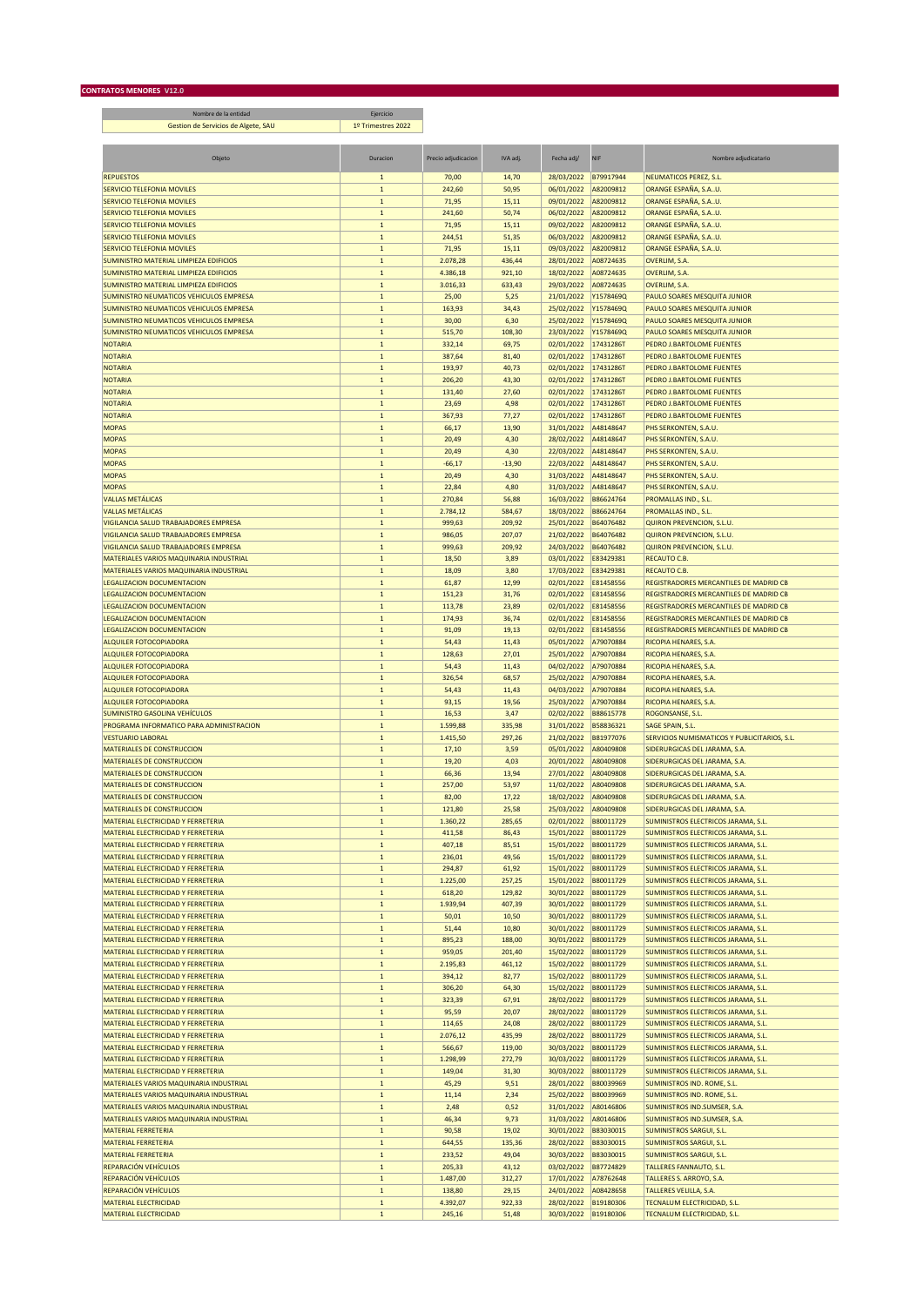Nombre de la entidad Ejercicio Gestion de Servicios de Algete, SAU 1º Trimestres 2022 

| Objeta                                                                   | Duracion                    | Precio adjudicacion | IVA adj.        | Fecha adj/               | <b>NIF</b>             | Nombre adjudicataric                                                       |
|--------------------------------------------------------------------------|-----------------------------|---------------------|-----------------|--------------------------|------------------------|----------------------------------------------------------------------------|
| <b>REPUESTOS</b>                                                         | $\mathbf{1}$                | 70,00               | 14,70           | 28/03/2022               | B79917944              | <b>NEUMATICOS PEREZ, S.L.</b>                                              |
| SERVICIO TELEFONIA MOVILES                                               | $\mathbf 1$                 | 242,60              | 50,95           | 06/01/2022               | A82009812              | ORANGE ESPAÑA, S.AU.                                                       |
| <b>SERVICIO TELEFONIA MOVILES</b>                                        | $\mathbf{1}$                | 71,95               | 15,11           | 09/01/2022               | A82009812              | ORANGE ESPAÑA, S.AU.                                                       |
| SERVICIO TELEFONIA MOVILES                                               | $\mathbf{1}$                | 241,60              | 50,74           | 06/02/2022               | A82009812              | ORANGE ESPAÑA, S.AU.                                                       |
| SERVICIO TELEFONIA MOVILES                                               | $\mathbf 1$                 | 71,95               | 15,11           | 09/02/2022               | A82009812              | ORANGE ESPAÑA, S.AU.                                                       |
| SERVICIO TELEFONIA MOVILES<br><b>SERVICIO TELEFONIA MOVILES</b>          | $\mathbf 1$                 | 244,51              | 51,35           | 06/03/2022               | A82009812              | ORANGE ESPAÑA, S.AU.                                                       |
| SUMINISTRO MATERIAL LIMPIEZA EDIFICIOS                                   | $\mathbf 1$<br>$\mathbf 1$  | 71,95<br>2.078,28   | 15,11<br>436,44 | 09/03/2022<br>28/01/2022 | A82009812<br>A08724635 | ORANGE ESPAÑA, S.AU.<br>OVERLIM, S.A.                                      |
| SUMINISTRO MATERIAL LIMPIEZA EDIFICIOS                                   | $\mathbf 1$                 | 4.386,18            | 921,10          | 18/02/2022               | A08724635              | OVERLIM, S.A.                                                              |
| SUMINISTRO MATERIAL LIMPIEZA EDIFICIOS                                   | $\,$ 1 $\,$                 | 3.016,33            | 633,43          | 29/03/2022               | A08724635              | OVERLIM, S.A.                                                              |
| SUMINISTRO NEUMATICOS VEHICULOS EMPRESA                                  | $\mathbf 1$                 | 25,00               | 5,25            | 21/01/2022               | Y1578469Q              | PAULO SOARES MESQUITA JUNIOR                                               |
| SUMINISTRO NEUMATICOS VEHICULOS EMPRESA                                  | $\mathbf 1$                 | 163,93              | 34,43           | 25/02/2022               | Y1578469Q              | <b>PAULO SOARES MESQUITA JUNIOR</b>                                        |
| SUMINISTRO NEUMATICOS VEHICULOS EMPRESA                                  | $\mathbf{1}$                | 30,00               | 6,30            | 25/02/2022               | Y1578469Q              | PAULO SOARES MESQUITA JUNIOR                                               |
| SUMINISTRO NEUMATICOS VEHICULOS EMPRESA                                  | $\mathbf 1$                 | 515,70              | 108,30          | 23/03/2022               | Y1578469Q              | PAULO SOARES MESQUITA JUNIOR                                               |
| <b>NOTARIA</b>                                                           | $\mathbf 1$                 | 332,14              | 69,75           | 02/01/2022               | 17431286T              | PEDRO J.BARTOLOME FUENTES                                                  |
| <b>NOTARIA</b>                                                           | $\mathbf{1}$                | 387,64              | 81,40           | 02/01/2022               | 17431286T              | PEDRO J.BARTOLOME FUENTES                                                  |
| <b>NOTARIA</b>                                                           | $1\,$                       | 193,97              | 40,73           | 02/01/2022               | 17431286T              | PEDRO J.BARTOLOME FUENTES                                                  |
| <b>NOTARIA</b>                                                           | $\mathbf 1$                 | 206,20              | 43,30           | 02/01/2022               | 17431286T              | PEDRO J.BARTOLOME FUENTES                                                  |
| <b>NOTARIA</b>                                                           | $\,$ 1 $\,$                 | 131,40              | 27,60           | 02/01/2022               | 17431286T              | PEDRO J.BARTOLOME FUENTES                                                  |
| <b>NOTARIA</b>                                                           | $\mathbf{1}$                | 23,69               | 4,98<br>77,27   | 02/01/2022<br>02/01/2022 | 17431286T<br>17431286T | PEDRO J.BARTOLOME FUENTES<br>PEDRO J.BARTOLOME FUENTES                     |
| <b>NOTARIA</b><br><b>MOPAS</b>                                           | $\mathbf 1$<br>$\mathbf 1$  | 367,93<br>66,17     | 13,90           | 31/01/2022               | A48148647              | PHS SERKONTEN, S.A.U.                                                      |
| <b>MOPAS</b>                                                             | $\mathbf 1$                 | 20,49               | 4,30            | 28/02/2022               | A48148647              | PHS SERKONTEN, S.A.U.                                                      |
| <b>MOPAS</b>                                                             | $\mathbf 1$                 | 20,49               | 4,30            | 22/03/2022               | A48148647              | PHS SERKONTEN, S.A.U.                                                      |
| <b>MOPAS</b>                                                             | $\mathbf 1$                 | $-66,17$            | $-13,90$        | 22/03/2022               | A48148647              | PHS SERKONTEN, S.A.U.                                                      |
| <b>MOPAS</b>                                                             | $\mathbf 1$                 | 20,49               | 4,30            | 31/03/2022               | A48148647              | PHS SERKONTEN, S.A.U.                                                      |
| <b>MOPAS</b>                                                             | $\mathbf 1$                 | 22,84               | 4,80            | 31/03/2022               | A48148647              | PHS SERKONTEN, S.A.U.                                                      |
| <b>VALLAS METÁLICAS</b>                                                  | $\mathbf 1$                 | 270,84              | 56,88           | 16/03/2022               | B86624764              | PROMALLAS IND., S.L.                                                       |
| <b>VALLAS METÁLICAS</b>                                                  | $\mathbf{1}$                | 2.784,12            | 584,67          | 18/03/2022               | B86624764              | PROMALLAS IND., S.L.                                                       |
| VIGILANCIA SALUD TRABAJADORES EMPRESA                                    | $\mathbf 1$                 | 999,63              | 209,92          | 25/01/2022               | B64076482              | QUIRON PREVENCION, S.L.U.                                                  |
| VIGILANCIA SALUD TRABAJADORES EMPRESA                                    | $\mathbf 1$                 | 986,05              | 207,07          | 21/02/2022               | B64076482              | QUIRON PREVENCION, S.L.U.                                                  |
| VIGILANCIA SALUD TRABAJADORES EMPRESA                                    | $\mathbf 1$                 | 999,63              | 209,92          | 24/03/2022               | B64076482              | QUIRON PREVENCION, S.L.U.                                                  |
| MATERIALES VARIOS MAQUINARIA INDUSTRIAL                                  | $\mathbf 1$                 | 18,50               | 3,89            | 03/01/2022<br>17/03/2022 | E83429381              | RECAUTO C.B.                                                               |
| MATERIALES VARIOS MAQUINARIA INDUSTRIAL<br>LEGALIZACION DOCUMENTACION    | $\mathbf 1$<br>$\mathbf 1$  | 18,09<br>61,87      | 3,80<br>12,99   | 02/01/2022               | E83429381<br>E81458556 | RECAUTO C.B.<br>REGISTRADORES MERCANTILES DE MADRID CB                     |
| LEGALIZACION DOCUMENTACION                                               | $\mathbf{1}$                | 151,23              | 31,76           | 02/01/2022               | E81458556              | REGISTRADORES MERCANTILES DE MADRID CB                                     |
| LEGALIZACION DOCUMENTACION                                               | $\mathbf 1$                 | 113,78              | 23,89           | 02/01/2022               | E81458556              | REGISTRADORES MERCANTILES DE MADRID CB                                     |
| <b>LEGALIZACION DOCUMENTACION</b>                                        | $\mathbf 1$                 | 174,93              | 36,74           | 02/01/2022               | E81458556              | REGISTRADORES MERCANTILES DE MADRID CB                                     |
| LEGALIZACION DOCUMENTACION                                               | $\mathbf 1$                 | 91,09               | 19,13           | 02/01/2022               | E81458556              | REGISTRADORES MERCANTILES DE MADRID CB                                     |
| <b>ALQUILER FOTOCOPIADORA</b>                                            | $\mathbf 1$                 | 54,43               | 11,43           | 05/01/2022               | A79070884              | RICOPIA HENARES, S.A.                                                      |
| <b>ALQUILER FOTOCOPIADORA</b>                                            | $\mathbf 1$                 | 128,63              | 27,01           | 25/01/2022               | A79070884              | RICOPIA HENARES, S.A.                                                      |
| <b>ALQUILER FOTOCOPIADORA</b>                                            | $\mathbf 1$                 | 54,43               | 11,43           | 04/02/2022               | A79070884              | RICOPIA HENARES, S.A.                                                      |
| <b>ALQUILER FOTOCOPIADORA</b>                                            | $\mathbf{1}$                | 326,54              | 68,57           | 25/02/2022               | A79070884              | RICOPIA HENARES, S.A.                                                      |
| ALQUILER FOTOCOPIADORA                                                   | $\mathbf{1}$                | 54,43               | 11,43           | 04/03/2022               | A79070884              | RICOPIA HENARES, S.A.                                                      |
| ALQUILER FOTOCOPIADORA<br>SUMINISTRO GASOLINA VEHÍCULOS                  | $\mathbf{1}$<br>$\mathbf 1$ | 93,15<br>16,53      | 19,56<br>3,47   | 25/03/2022<br>02/02/2022 | A79070884<br>B88615778 | RICOPIA HENARES, S.A.<br>ROGONSANSE, S.L.                                  |
| PROGRAMA INFORMATICO PARA ADMINISTRACION                                 | $\mathbf 1$                 | 1.599,88            | 335,98          | 31/01/2022               | B58836321              | SAGE SPAIN, S.L.                                                           |
| <b>VESTUARIO LABORAL</b>                                                 | $1\,$                       | 1.415,50            | 297,26          | 21/02/2022               | B81977076              | SERVICIOS NUMISMATICOS Y PUBLICITARIOS, S.L.                               |
| <b>MATERIALES DE CONSTRUCCION</b>                                        | $1\,$                       | 17,10               | 3,59            | 05/01/2022               | A80409808              | SIDERURGICAS DEL JARAMA, S.A.                                              |
| <b>MATERIALES DE CONSTRUCCION</b>                                        | $\mathbf 1$                 | 19,20               | 4,03            | 20/01/2022               | A80409808              | SIDERURGICAS DEL JARAMA, S.A.                                              |
| MATERIALES DE CONSTRUCCION                                               | $\,$ 1 $\,$                 | 66,36               | 13,94           | 27/01/2022               | A80409808              | SIDERURGICAS DEL JARAMA, S.A.                                              |
| <b>MATERIALES DE CONSTRUCCION</b>                                        | $\mathbf 1$                 | 257,00              | 53,97           | 11/02/2022               | A80409808              | SIDERURGICAS DEL JARAMA, S.A.                                              |
| MATERIALES DE CONSTRUCCION                                               | $\mathbf 1$                 | 82.00               | 17,22           | 18/02/2022               | A80409808              | SIDERURGICAS DEL JARAMA, S.A.                                              |
| <b>MATERIALES DE CONSTRUCCION</b>                                        | $\mathbf{1}$                | 121,80              | 25,58           | 25/03/2022               | A80409808              | SIDERURGICAS DEL JARAMA, S.A.                                              |
| MATERIAL ELECTRICIDAD Y FERRETERIA                                       | $\mathbf 1$                 | 1.360,22            | 285,65          | 02/01/2022               | B80011729              | SUMINISTROS ELECTRICOS JARAMA, S.L.                                        |
| MATERIAL ELECTRICIDAD Y FERRETERIA<br>MATERIAL ELECTRICIDAD Y FERRETERIA | $\mathbf 1$                 | 411,58              | 86,43           | 15/01/2022<br>15/01/2022 | B80011729              | SUMINISTROS ELECTRICOS JARAMA, S.L.<br>SUMINISTROS ELECTRICOS JARAMA, S.L. |
| MATERIAL ELECTRICIDAD Y FERRETERIA                                       | $\,$ 1<br>$\mathbf{1}$      | 407,18<br>236,01    | 85,51<br>49,56  | 15/01/2022               | B80011729<br>B80011729 | SUMINISTROS ELECTRICOS JARAMA, S.L.                                        |
| MATERIAL ELECTRICIDAD Y FERRETERIA                                       | $\mathbf 1$                 | 294,87              | 61,92           | 15/01/2022 B80011729     |                        | SUMINISTROS ELECTRICOS JARAMA, S.L.                                        |
| MATERIAL ELECTRICIDAD Y FERRETERIA                                       | $\mathbf 1$                 | 1.225,00            | 257,25          | 15/01/2022               | B80011729              | SUMINISTROS ELECTRICOS JARAMA, S.L.                                        |
| MATERIAL ELECTRICIDAD Y FERRETERIA                                       | $\mathbf{1}$                | 618,20              | 129,82          | 30/01/2022               | B80011729              | SUMINISTROS ELECTRICOS JARAMA, S.L.                                        |
| MATERIAL ELECTRICIDAD Y FERRETERIA                                       | $\mathbf{1}$                | 1.939,94            | 407,39          | 30/01/2022               | B80011729              | SUMINISTROS ELECTRICOS JARAMA, S.L.                                        |
| MATERIAL ELECTRICIDAD Y FERRETERIA                                       | $1\,$                       | 50,01               | 10,50           | 30/01/2022               | B80011729              | SUMINISTROS ELECTRICOS JARAMA, S.L.                                        |
| MATERIAL ELECTRICIDAD Y FERRETERIA                                       | $1\,$                       | 51,44               | 10,80           | 30/01/2022               | B80011729              | SUMINISTROS ELECTRICOS JARAMA, S.L.                                        |
| MATERIAL ELECTRICIDAD Y FERRETERIA                                       | $\mathbf 1$                 | 895,23              | 188,00          | 30/01/2022               | B80011729              | SUMINISTROS ELECTRICOS JARAMA, S.L.                                        |
| MATERIAL ELECTRICIDAD Y FERRETERIA                                       | $\mathbf{1}$                | 959,05              | 201,40          | 15/02/2022               | B80011729              | SUMINISTROS ELECTRICOS JARAMA, S.L.                                        |
| MATERIAL ELECTRICIDAD Y FERRETERIA                                       | $\mathbf{1}$                | 2.195,83            | 461,12          | 15/02/2022               | B80011729              | SUMINISTROS ELECTRICOS JARAMA, S.L.                                        |
| MATERIAL ELECTRICIDAD Y FERRETERIA<br>MATERIAL ELECTRICIDAD Y FERRETERIA | $\mathbf 1$<br>$\,$ 1 $\,$  | 394,12<br>306,20    | 82,77<br>64,30  | 15/02/2022<br>15/02/2022 | B80011729<br>B80011729 | SUMINISTROS ELECTRICOS JARAMA, S.L.<br>SUMINISTROS ELECTRICOS JARAMA, S.L. |
| MATERIAL ELECTRICIDAD Y FERRETERIA                                       | $\mathbf{1}$                | 323,39              | 67,91           | 28/02/2022               | B80011729              | SUMINISTROS ELECTRICOS JARAMA, S.L.                                        |
| MATERIAL ELECTRICIDAD Y FERRETERIA                                       | $1\,$                       | 95,59               | 20,07           | 28/02/2022               | B80011729              | SUMINISTROS ELECTRICOS JARAMA, S.L.                                        |
| MATERIAL ELECTRICIDAD Y FERRETERIA                                       | $\mathbf 1$                 | 114,65              | 24,08           | 28/02/2022               | B80011729              | SUMINISTROS ELECTRICOS JARAMA, S.L.                                        |
| MATERIAL ELECTRICIDAD Y FERRETERIA                                       | $\mathbf{1}$                | 2.076,12            | 435,99          | 28/02/2022               | B80011729              | SUMINISTROS ELECTRICOS JARAMA, S.L.                                        |
| MATERIAL ELECTRICIDAD Y FERRETERIA                                       | $\mathbf 1$                 | 566,67              | 119,00          | 30/03/2022               | B80011729              | SUMINISTROS ELECTRICOS JARAMA, S.L.                                        |
| MATERIAL ELECTRICIDAD Y FERRETERIA                                       | $\mathbf 1$                 | 1.298,99            | 272,79          | 30/03/2022               | B80011729              | SUMINISTROS ELECTRICOS JARAMA, S.L.                                        |
| MATERIAL ELECTRICIDAD Y FERRETERIA                                       | $\mathbf 1$                 | 149,04              | 31,30           | 30/03/2022               | B80011729              | SUMINISTROS ELECTRICOS JARAMA, S.L.                                        |
| MATERIALES VARIOS MAQUINARIA INDUSTRIAL                                  | $\mathbf{1}$                | 45,29               | 9,51            | 28/01/2022               | B80039969              | SUMINISTROS IND. ROME, S.L.                                                |
| MATERIALES VARIOS MAQUINARIA INDUSTRIAL                                  | $\mathbf 1$                 | 11,14               | 2,34            | 25/02/2022               | B80039969              | SUMINISTROS IND. ROME, S.L.                                                |
| MATERIALES VARIOS MAQUINARIA INDUSTRIAL                                  | $\mathbf 1$                 | 2,48                | 0,52            | 31/01/2022               | A80146806              | SUMINISTROS IND.SUMSER, S.A.                                               |
| MATERIALES VARIOS MAQUINARIA INDUSTRIAL                                  | $1\,$                       | 46,34               | 9,73            | 31/03/2022               | A80146806              | SUMINISTROS IND.SUMSER, S.A.                                               |
| <b>MATERIAL FERRETERIA</b><br><b>MATERIAL FERRETERIA</b>                 | $1\,$<br>$\mathbf{1}$       | 90,58<br>644,55     | 19,02<br>135,36 | 30/01/2022<br>28/02/2022 | B83030015<br>B83030015 | <b>SUMINISTROS SARGUI, S.L.</b><br><b>SUMINISTROS SARGUI, S.L.</b>         |
| <b>MATERIAL FERRETERIA</b>                                               | $\mathbf{1}$                | 233,52              | 49,04           | 30/03/2022               | B83030015              | SUMINISTROS SARGUI, S.L.                                                   |
| REPARACIÓN VEHÍCULOS                                                     | $\mathbf 1$                 | 205,33              | 43,12           | 03/02/2022               | B87724829              | <b>TALLERES FANNAUTO, S.L.</b>                                             |
| REPARACIÓN VEHÍCULOS                                                     | $\mathbf 1$                 | 1.487,00            | 312,27          | 17/01/2022               | A78762648              | TALLERES S. ARROYO, S.A.                                                   |
| REPARACIÓN VEHÍCULOS                                                     | $\mathbf 1$                 | 138,80              | 29,15           | 24/01/2022               | A08428658              | <b>TALLERES VELILLA, S.A.</b>                                              |
| <b>MATERIAL ELECTRICIDAD</b>                                             | $1\,$                       | 4.392,07            | 922,33          | 28/02/2022               | B19180306              | TECNALUM ELECTRICIDAD, S.L.                                                |
| <b>MATERIAL ELECTRICIDAD</b>                                             | $\mathbf 1$                 | 245,16              | 51,48           | 30/03/2022               | B19180306              | TECNALUM ELECTRICIDAD, S.L.                                                |